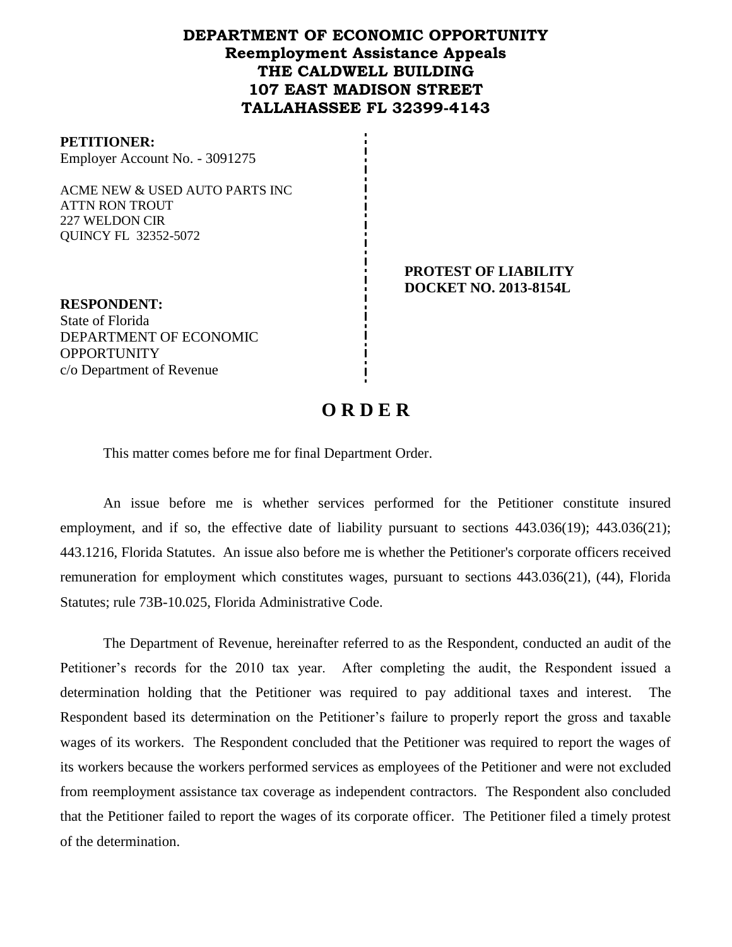# **DEPARTMENT OF ECONOMIC OPPORTUNITY Reemployment Assistance Appeals THE CALDWELL BUILDING 107 EAST MADISON STREET TALLAHASSEE FL 32399-4143**

#### **PETITIONER:**

Employer Account No. - 3091275

ACME NEW & USED AUTO PARTS INC ATTN RON TROUT 227 WELDON CIR QUINCY FL 32352-5072

> **PROTEST OF LIABILITY DOCKET NO. 2013-8154L**

**RESPONDENT:** State of Florida DEPARTMENT OF ECONOMIC **OPPORTUNITY** c/o Department of Revenue

# **O R D E R**

This matter comes before me for final Department Order.

An issue before me is whether services performed for the Petitioner constitute insured employment, and if so, the effective date of liability pursuant to sections  $443.036(19)$ ;  $443.036(21)$ ; 443.1216, Florida Statutes. An issue also before me is whether the Petitioner's corporate officers received remuneration for employment which constitutes wages, pursuant to sections 443.036(21), (44), Florida Statutes; rule 73B-10.025, Florida Administrative Code.

The Department of Revenue, hereinafter referred to as the Respondent, conducted an audit of the Petitioner's records for the 2010 tax year. After completing the audit, the Respondent issued a determination holding that the Petitioner was required to pay additional taxes and interest. The Respondent based its determination on the Petitioner's failure to properly report the gross and taxable wages of its workers. The Respondent concluded that the Petitioner was required to report the wages of its workers because the workers performed services as employees of the Petitioner and were not excluded from reemployment assistance tax coverage as independent contractors. The Respondent also concluded that the Petitioner failed to report the wages of its corporate officer. The Petitioner filed a timely protest of the determination.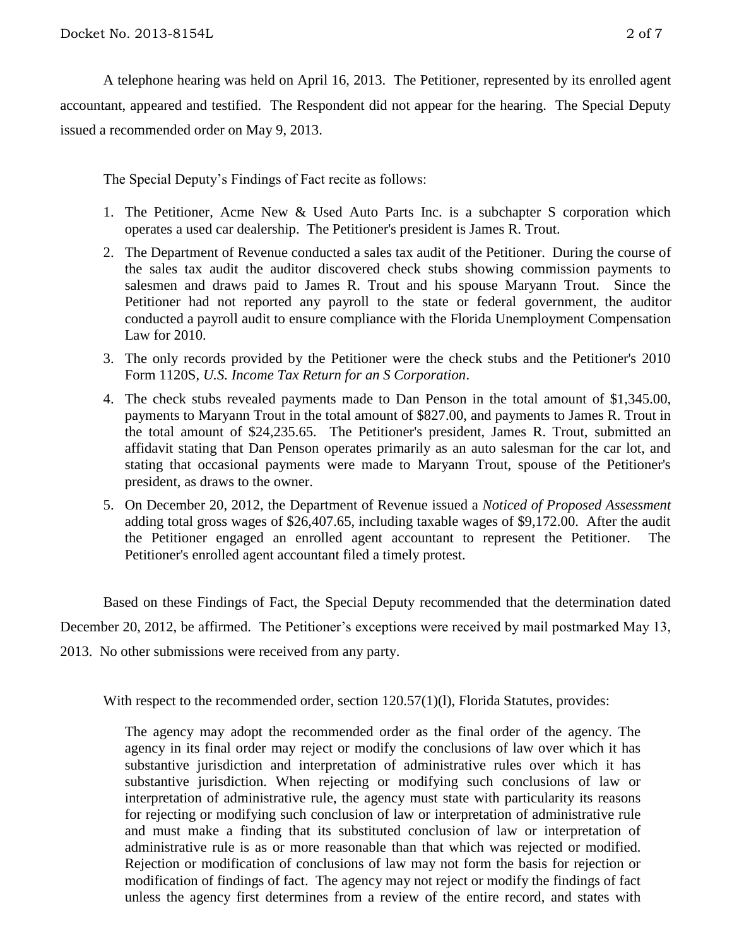A telephone hearing was held on April 16, 2013.The Petitioner, represented by its enrolled agent accountant, appeared and testified. The Respondent did not appear for the hearing. The Special Deputy issued a recommended order on May 9, 2013.

The Special Deputy's Findings of Fact recite as follows:

- 1. The Petitioner, Acme New & Used Auto Parts Inc. is a subchapter S corporation which operates a used car dealership. The Petitioner's president is James R. Trout.
- 2. The Department of Revenue conducted a sales tax audit of the Petitioner. During the course of the sales tax audit the auditor discovered check stubs showing commission payments to salesmen and draws paid to James R. Trout and his spouse Maryann Trout. Since the Petitioner had not reported any payroll to the state or federal government, the auditor conducted a payroll audit to ensure compliance with the Florida Unemployment Compensation Law for 2010.
- 3. The only records provided by the Petitioner were the check stubs and the Petitioner's 2010 Form 1120S, *U.S. Income Tax Return for an S Corporation*.
- 4. The check stubs revealed payments made to Dan Penson in the total amount of \$1,345.00, payments to Maryann Trout in the total amount of \$827.00, and payments to James R. Trout in the total amount of \$24,235.65. The Petitioner's president, James R. Trout, submitted an affidavit stating that Dan Penson operates primarily as an auto salesman for the car lot, and stating that occasional payments were made to Maryann Trout, spouse of the Petitioner's president, as draws to the owner.
- 5. On December 20, 2012, the Department of Revenue issued a *Noticed of Proposed Assessment* adding total gross wages of \$26,407.65, including taxable wages of \$9,172.00. After the audit the Petitioner engaged an enrolled agent accountant to represent the Petitioner. The Petitioner's enrolled agent accountant filed a timely protest.

Based on these Findings of Fact, the Special Deputy recommended that the determination dated December 20, 2012, be affirmed. The Petitioner's exceptions were received by mail postmarked May 13, 2013. No other submissions were received from any party.

With respect to the recommended order, section 120.57(1)(1), Florida Statutes, provides:

The agency may adopt the recommended order as the final order of the agency. The agency in its final order may reject or modify the conclusions of law over which it has substantive jurisdiction and interpretation of administrative rules over which it has substantive jurisdiction. When rejecting or modifying such conclusions of law or interpretation of administrative rule, the agency must state with particularity its reasons for rejecting or modifying such conclusion of law or interpretation of administrative rule and must make a finding that its substituted conclusion of law or interpretation of administrative rule is as or more reasonable than that which was rejected or modified. Rejection or modification of conclusions of law may not form the basis for rejection or modification of findings of fact. The agency may not reject or modify the findings of fact unless the agency first determines from a review of the entire record, and states with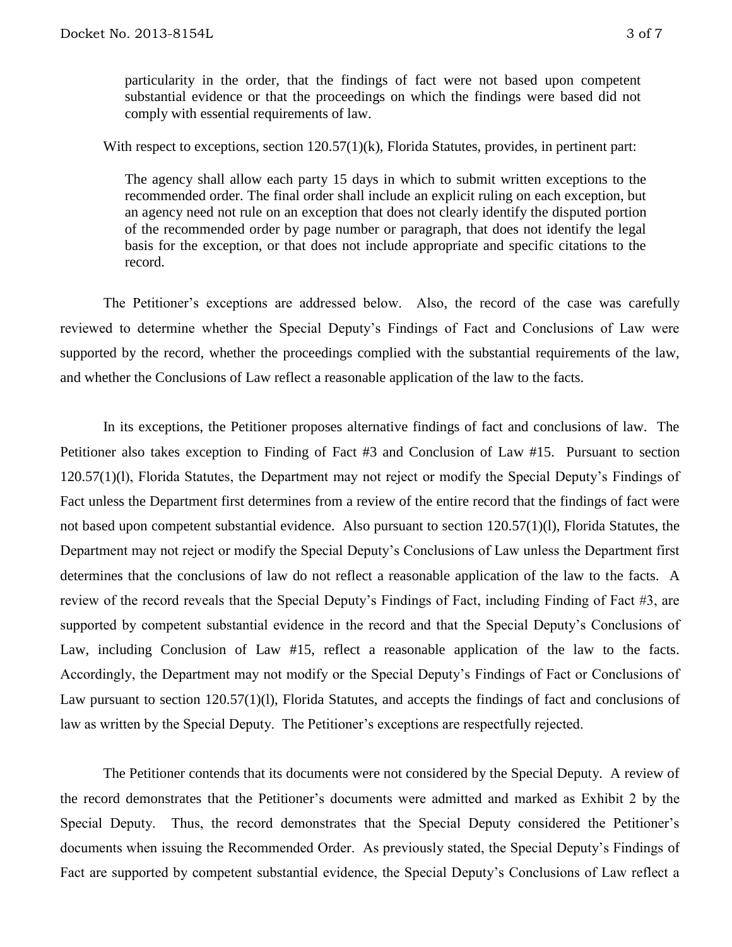particularity in the order, that the findings of fact were not based upon competent substantial evidence or that the proceedings on which the findings were based did not comply with essential requirements of law.

With respect to exceptions, section 120.57(1)(k), Florida Statutes, provides, in pertinent part:

The agency shall allow each party 15 days in which to submit written exceptions to the recommended order. The final order shall include an explicit ruling on each exception, but an agency need not rule on an exception that does not clearly identify the disputed portion of the recommended order by page number or paragraph, that does not identify the legal basis for the exception, or that does not include appropriate and specific citations to the record.

The Petitioner's exceptions are addressed below. Also, the record of the case was carefully reviewed to determine whether the Special Deputy's Findings of Fact and Conclusions of Law were supported by the record, whether the proceedings complied with the substantial requirements of the law, and whether the Conclusions of Law reflect a reasonable application of the law to the facts.

In its exceptions, the Petitioner proposes alternative findings of fact and conclusions of law. The Petitioner also takes exception to Finding of Fact #3 and Conclusion of Law #15. Pursuant to section 120.57(1)(l), Florida Statutes, the Department may not reject or modify the Special Deputy's Findings of Fact unless the Department first determines from a review of the entire record that the findings of fact were not based upon competent substantial evidence. Also pursuant to section 120.57(1)(l), Florida Statutes, the Department may not reject or modify the Special Deputy's Conclusions of Law unless the Department first determines that the conclusions of law do not reflect a reasonable application of the law to the facts. A review of the record reveals that the Special Deputy's Findings of Fact, including Finding of Fact #3, are supported by competent substantial evidence in the record and that the Special Deputy's Conclusions of Law, including Conclusion of Law #15, reflect a reasonable application of the law to the facts. Accordingly, the Department may not modify or the Special Deputy's Findings of Fact or Conclusions of Law pursuant to section 120.57(1)(l), Florida Statutes, and accepts the findings of fact and conclusions of law as written by the Special Deputy. The Petitioner's exceptions are respectfully rejected.

The Petitioner contends that its documents were not considered by the Special Deputy. A review of the record demonstrates that the Petitioner's documents were admitted and marked as Exhibit 2 by the Special Deputy. Thus, the record demonstrates that the Special Deputy considered the Petitioner's documents when issuing the Recommended Order. As previously stated, the Special Deputy's Findings of Fact are supported by competent substantial evidence, the Special Deputy's Conclusions of Law reflect a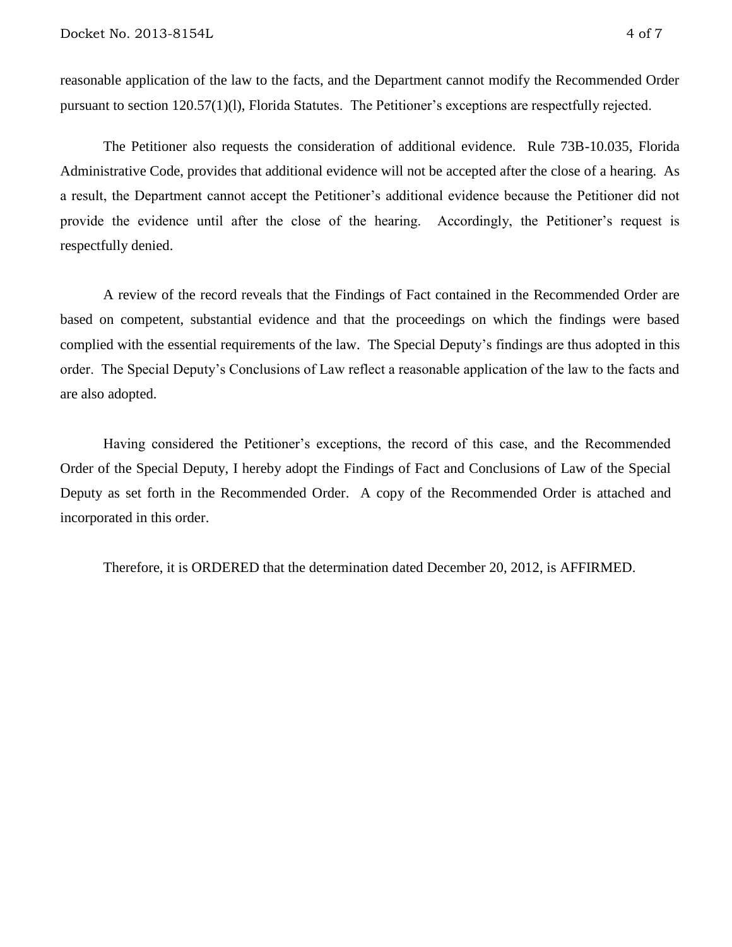reasonable application of the law to the facts, and the Department cannot modify the Recommended Order pursuant to section 120.57(1)(l), Florida Statutes. The Petitioner's exceptions are respectfully rejected.

The Petitioner also requests the consideration of additional evidence. Rule 73B-10.035, Florida Administrative Code, provides that additional evidence will not be accepted after the close of a hearing. As a result, the Department cannot accept the Petitioner's additional evidence because the Petitioner did not provide the evidence until after the close of the hearing. Accordingly, the Petitioner's request is respectfully denied.

A review of the record reveals that the Findings of Fact contained in the Recommended Order are based on competent, substantial evidence and that the proceedings on which the findings were based complied with the essential requirements of the law. The Special Deputy's findings are thus adopted in this order. The Special Deputy's Conclusions of Law reflect a reasonable application of the law to the facts and are also adopted.

Having considered the Petitioner's exceptions, the record of this case, and the Recommended Order of the Special Deputy, I hereby adopt the Findings of Fact and Conclusions of Law of the Special Deputy as set forth in the Recommended Order. A copy of the Recommended Order is attached and incorporated in this order.

Therefore, it is ORDERED that the determination dated December 20, 2012, is AFFIRMED.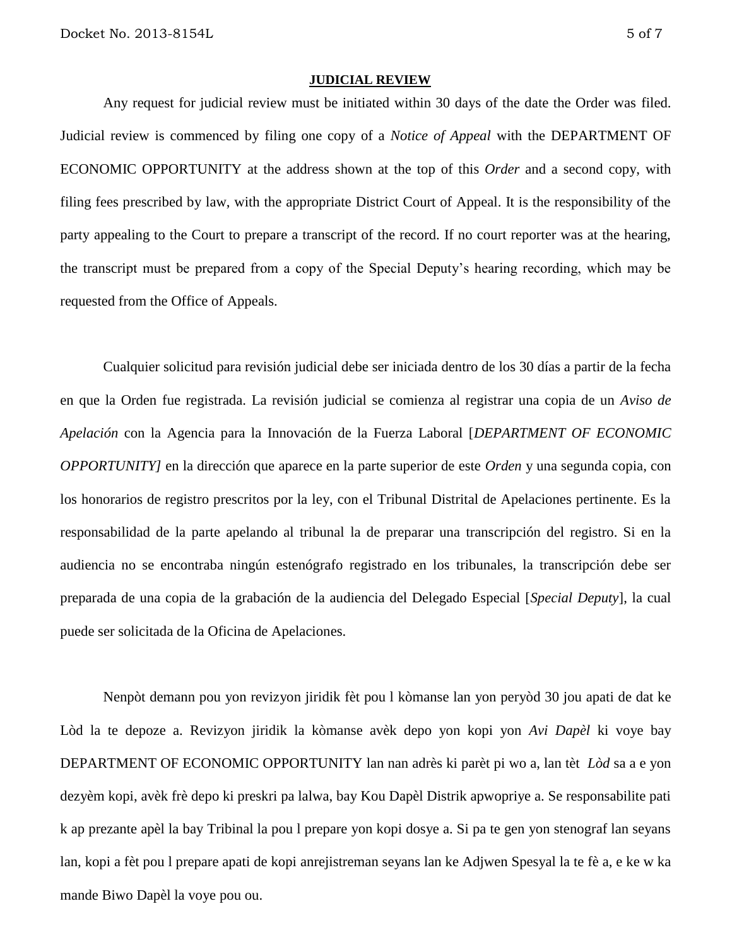#### **JUDICIAL REVIEW**

Any request for judicial review must be initiated within 30 days of the date the Order was filed. Judicial review is commenced by filing one copy of a *Notice of Appeal* with the DEPARTMENT OF ECONOMIC OPPORTUNITY at the address shown at the top of this *Order* and a second copy, with filing fees prescribed by law, with the appropriate District Court of Appeal. It is the responsibility of the party appealing to the Court to prepare a transcript of the record. If no court reporter was at the hearing, the transcript must be prepared from a copy of the Special Deputy's hearing recording, which may be requested from the Office of Appeals.

Cualquier solicitud para revisión judicial debe ser iniciada dentro de los 30 días a partir de la fecha en que la Orden fue registrada. La revisión judicial se comienza al registrar una copia de un *Aviso de Apelación* con la Agencia para la Innovación de la Fuerza Laboral [*DEPARTMENT OF ECONOMIC OPPORTUNITY]* en la dirección que aparece en la parte superior de este *Orden* y una segunda copia, con los honorarios de registro prescritos por la ley, con el Tribunal Distrital de Apelaciones pertinente. Es la responsabilidad de la parte apelando al tribunal la de preparar una transcripción del registro. Si en la audiencia no se encontraba ningún estenógrafo registrado en los tribunales, la transcripción debe ser preparada de una copia de la grabación de la audiencia del Delegado Especial [*Special Deputy*], la cual puede ser solicitada de la Oficina de Apelaciones.

Nenpòt demann pou yon revizyon jiridik fèt pou l kòmanse lan yon peryòd 30 jou apati de dat ke Lòd la te depoze a. Revizyon jiridik la kòmanse avèk depo yon kopi yon *Avi Dapèl* ki voye bay DEPARTMENT OF ECONOMIC OPPORTUNITY lan nan adrès ki parèt pi wo a, lan tèt *Lòd* sa a e yon dezyèm kopi, avèk frè depo ki preskri pa lalwa, bay Kou Dapèl Distrik apwopriye a. Se responsabilite pati k ap prezante apèl la bay Tribinal la pou l prepare yon kopi dosye a. Si pa te gen yon stenograf lan seyans lan, kopi a fèt pou l prepare apati de kopi anrejistreman seyans lan ke Adjwen Spesyal la te fè a, e ke w ka mande Biwo Dapèl la voye pou ou.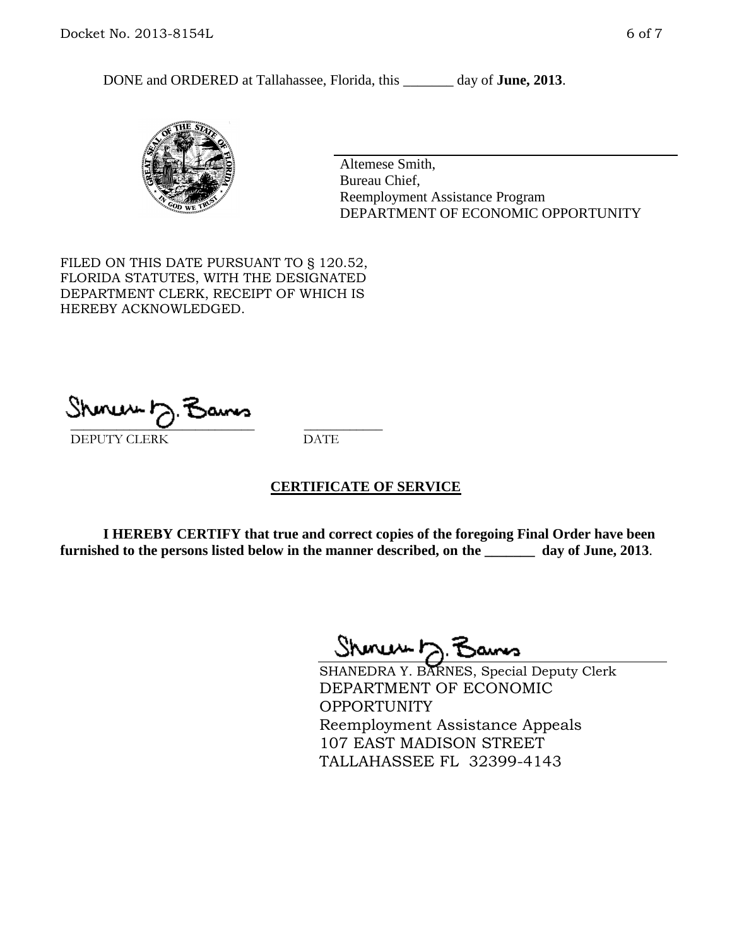DONE and ORDERED at Tallahassee, Florida, this \_\_\_\_\_\_\_ day of **June, 2013**.



Altemese Smith, Bureau Chief, Reemployment Assistance Program DEPARTMENT OF ECONOMIC OPPORTUNITY

FILED ON THIS DATE PURSUANT TO § 120.52, FLORIDA STATUTES, WITH THE DESIGNATED DEPARTMENT CLERK, RECEIPT OF WHICH IS HEREBY ACKNOWLEDGED.

 $\overline{\phantom{a}}$  ,  $\overline{\phantom{a}}$  ,  $\overline{\phantom{a}}$  ,  $\overline{\phantom{a}}$  ,  $\overline{\phantom{a}}$  ,  $\overline{\phantom{a}}$  ,  $\overline{\phantom{a}}$  ,  $\overline{\phantom{a}}$  ,  $\overline{\phantom{a}}$  ,  $\overline{\phantom{a}}$  ,  $\overline{\phantom{a}}$  ,  $\overline{\phantom{a}}$  ,  $\overline{\phantom{a}}$  ,  $\overline{\phantom{a}}$  ,  $\overline{\phantom{a}}$  ,  $\overline{\phantom{a}}$ DEPUTY CLERK DATE

### **CERTIFICATE OF SERVICE**

**I HEREBY CERTIFY that true and correct copies of the foregoing Final Order have been furnished to the persons listed below in the manner described, on the \_\_\_\_\_\_\_ day of June, 2013**.

 $ShmumE, F$ 

SHANEDRA Y. BARNES, Special Deputy Clerk DEPARTMENT OF ECONOMIC OPPORTUNITY Reemployment Assistance Appeals 107 EAST MADISON STREET TALLAHASSEE FL 32399-4143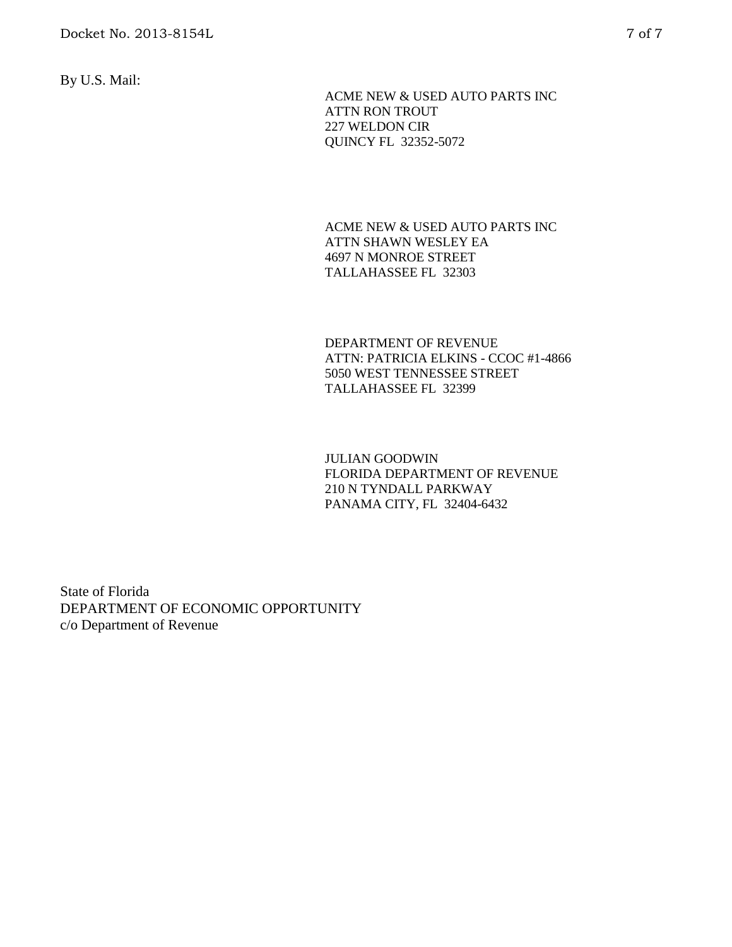By U.S. Mail:

 ACME NEW & USED AUTO PARTS INC ATTN RON TROUT 227 WELDON CIR QUINCY FL 32352-5072

ACME NEW & USED AUTO PARTS INC ATTN SHAWN WESLEY EA 4697 N MONROE STREET TALLAHASSEE FL 32303

DEPARTMENT OF REVENUE ATTN: PATRICIA ELKINS - CCOC #1-4866 5050 WEST TENNESSEE STREET TALLAHASSEE FL 32399

JULIAN GOODWIN FLORIDA DEPARTMENT OF REVENUE 210 N TYNDALL PARKWAY PANAMA CITY, FL 32404-6432

State of Florida DEPARTMENT OF ECONOMIC OPPORTUNITY c/o Department of Revenue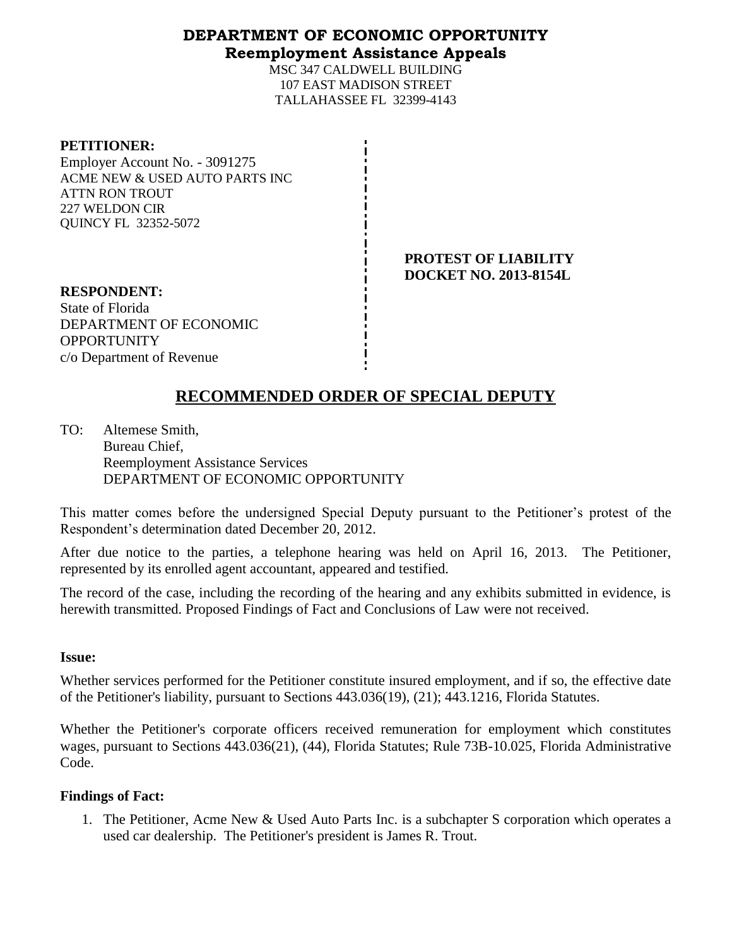## **DEPARTMENT OF ECONOMIC OPPORTUNITY Reemployment Assistance Appeals**

MSC 347 CALDWELL BUILDING 107 EAST MADISON STREET TALLAHASSEE FL 32399-4143

| <b>PETITIONER:</b> |
|--------------------|
|--------------------|

Employer Account No. - 3091275 ACME NEW & USED AUTO PARTS INC ATTN RON TROUT 227 WELDON CIR QUINCY FL 32352-5072

> **PROTEST OF LIABILITY DOCKET NO. 2013-8154L**

**RESPONDENT:** State of Florida DEPARTMENT OF ECONOMIC **OPPORTUNITY** c/o Department of Revenue

# **RECOMMENDED ORDER OF SPECIAL DEPUTY**

TO: Altemese Smith, Bureau Chief, Reemployment Assistance Services DEPARTMENT OF ECONOMIC OPPORTUNITY

This matter comes before the undersigned Special Deputy pursuant to the Petitioner's protest of the Respondent's determination dated December 20, 2012.

After due notice to the parties, a telephone hearing was held on April 16, 2013. The Petitioner, represented by its enrolled agent accountant, appeared and testified.

The record of the case, including the recording of the hearing and any exhibits submitted in evidence, is herewith transmitted. Proposed Findings of Fact and Conclusions of Law were not received.

### **Issue:**

Whether services performed for the Petitioner constitute insured employment, and if so, the effective date of the Petitioner's liability, pursuant to Sections 443.036(19), (21); 443.1216, Florida Statutes.

Whether the Petitioner's corporate officers received remuneration for employment which constitutes wages, pursuant to Sections 443.036(21), (44), Florida Statutes; Rule 73B-10.025, Florida Administrative Code.

### **Findings of Fact:**

1. The Petitioner, Acme New & Used Auto Parts Inc. is a subchapter S corporation which operates a used car dealership. The Petitioner's president is James R. Trout.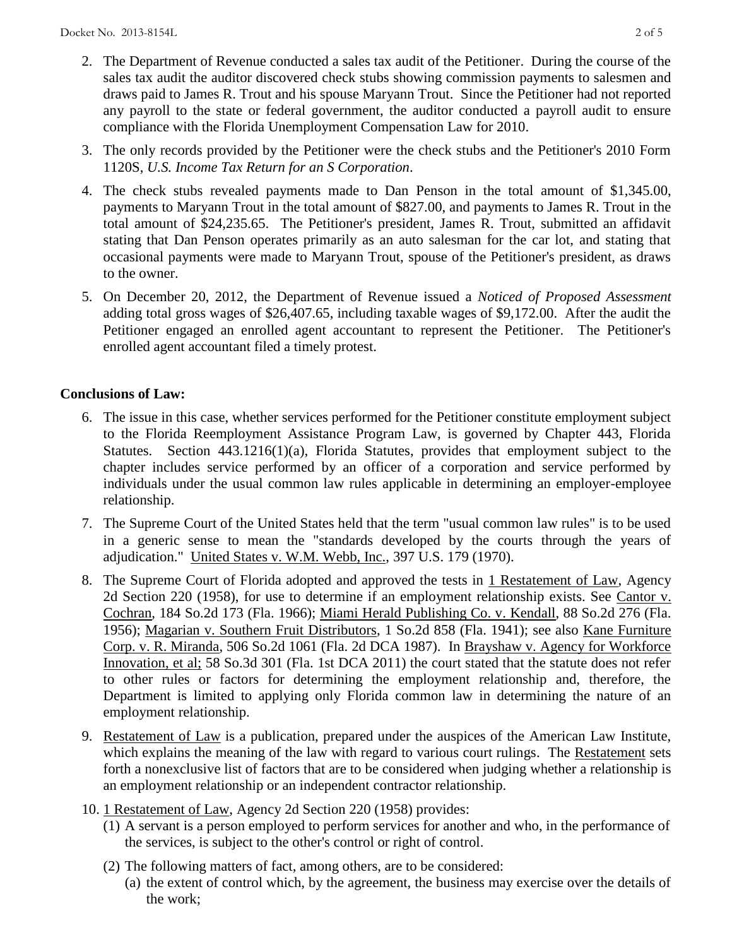- 2. The Department of Revenue conducted a sales tax audit of the Petitioner. During the course of the sales tax audit the auditor discovered check stubs showing commission payments to salesmen and draws paid to James R. Trout and his spouse Maryann Trout. Since the Petitioner had not reported any payroll to the state or federal government, the auditor conducted a payroll audit to ensure compliance with the Florida Unemployment Compensation Law for 2010.
- 3. The only records provided by the Petitioner were the check stubs and the Petitioner's 2010 Form 1120S, *U.S. Income Tax Return for an S Corporation*.
- 4. The check stubs revealed payments made to Dan Penson in the total amount of \$1,345.00, payments to Maryann Trout in the total amount of \$827.00, and payments to James R. Trout in the total amount of \$24,235.65. The Petitioner's president, James R. Trout, submitted an affidavit stating that Dan Penson operates primarily as an auto salesman for the car lot, and stating that occasional payments were made to Maryann Trout, spouse of the Petitioner's president, as draws to the owner.
- 5. On December 20, 2012, the Department of Revenue issued a *Noticed of Proposed Assessment* adding total gross wages of \$26,407.65, including taxable wages of \$9,172.00. After the audit the Petitioner engaged an enrolled agent accountant to represent the Petitioner. The Petitioner's enrolled agent accountant filed a timely protest.

## **Conclusions of Law:**

- 6. The issue in this case, whether services performed for the Petitioner constitute employment subject to the Florida Reemployment Assistance Program Law, is governed by Chapter 443, Florida Statutes. Section 443.1216(1)(a), Florida Statutes, provides that employment subject to the chapter includes service performed by an officer of a corporation and service performed by individuals under the usual common law rules applicable in determining an employer-employee relationship.
- 7. The Supreme Court of the United States held that the term "usual common law rules" is to be used in a generic sense to mean the "standards developed by the courts through the years of adjudication." United States v. W.M. Webb, Inc., 397 U.S. 179 (1970).
- 8. The Supreme Court of Florida adopted and approved the tests in 1 Restatement of Law, Agency 2d Section 220 (1958), for use to determine if an employment relationship exists. See Cantor v. Cochran, 184 So.2d 173 (Fla. 1966); Miami Herald Publishing Co. v. Kendall, 88 So.2d 276 (Fla. 1956); Magarian v. Southern Fruit Distributors, 1 So.2d 858 (Fla. 1941); see also Kane Furniture Corp. v. R. Miranda, 506 So.2d 1061 (Fla. 2d DCA 1987). In Brayshaw v. Agency for Workforce Innovation, et al; 58 So.3d 301 (Fla. 1st DCA 2011) the court stated that the statute does not refer to other rules or factors for determining the employment relationship and, therefore, the Department is limited to applying only Florida common law in determining the nature of an employment relationship.
- 9. Restatement of Law is a publication, prepared under the auspices of the American Law Institute, which explains the meaning of the law with regard to various court rulings. The Restatement sets forth a nonexclusive list of factors that are to be considered when judging whether a relationship is an employment relationship or an independent contractor relationship.
- 10. 1 Restatement of Law, Agency 2d Section 220 (1958) provides:
	- (1) A servant is a person employed to perform services for another and who, in the performance of the services, is subject to the other's control or right of control.
	- (2) The following matters of fact, among others, are to be considered: (a) the extent of control which, by the agreement, the business may exercise over the details of the work;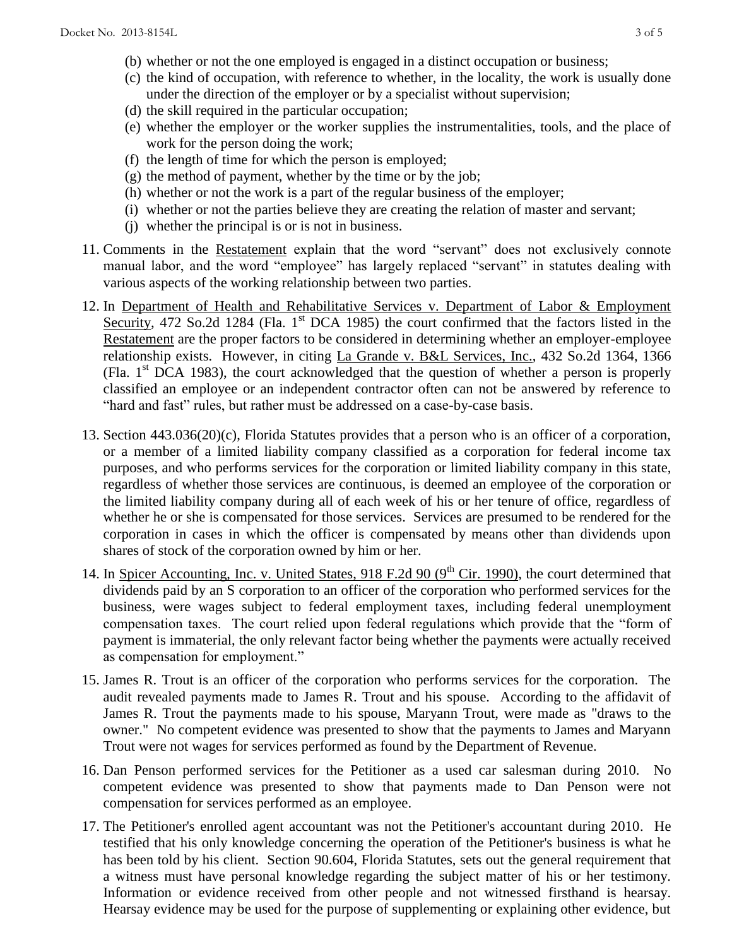- (b) whether or not the one employed is engaged in a distinct occupation or business;
- (c) the kind of occupation, with reference to whether, in the locality, the work is usually done under the direction of the employer or by a specialist without supervision;
- (d) the skill required in the particular occupation;
- (e) whether the employer or the worker supplies the instrumentalities, tools, and the place of work for the person doing the work;
- (f) the length of time for which the person is employed;
- (g) the method of payment, whether by the time or by the job;
- (h) whether or not the work is a part of the regular business of the employer;
- (i) whether or not the parties believe they are creating the relation of master and servant;
- (j) whether the principal is or is not in business.
- 11. Comments in the Restatement explain that the word "servant" does not exclusively connote manual labor, and the word "employee" has largely replaced "servant" in statutes dealing with various aspects of the working relationship between two parties.
- 12. In Department of Health and Rehabilitative Services v. Department of Labor & Employment Security, 472 So.2d 1284 (Fla. 1<sup>st</sup> DCA 1985) the court confirmed that the factors listed in the Restatement are the proper factors to be considered in determining whether an employer-employee relationship exists. However, in citing La Grande v. B&L Services, Inc., 432 So.2d 1364, 1366 (Fla.  $1<sup>st</sup> DCA$  1983), the court acknowledged that the question of whether a person is properly classified an employee or an independent contractor often can not be answered by reference to "hard and fast" rules, but rather must be addressed on a case-by-case basis.
- 13. Section 443.036(20)(c), Florida Statutes provides that a person who is an officer of a corporation, or a member of a limited liability company classified as a corporation for federal income tax purposes, and who performs services for the corporation or limited liability company in this state, regardless of whether those services are continuous, is deemed an employee of the corporation or the limited liability company during all of each week of his or her tenure of office, regardless of whether he or she is compensated for those services. Services are presumed to be rendered for the corporation in cases in which the officer is compensated by means other than dividends upon shares of stock of the corporation owned by him or her.
- 14. In Spicer Accounting, Inc. v. United States, 918 F.2d 90  $(9<sup>th</sup>$  Cir. 1990), the court determined that dividends paid by an S corporation to an officer of the corporation who performed services for the business, were wages subject to federal employment taxes, including federal unemployment compensation taxes. The court relied upon federal regulations which provide that the "form of payment is immaterial, the only relevant factor being whether the payments were actually received as compensation for employment."
- 15. James R. Trout is an officer of the corporation who performs services for the corporation. The audit revealed payments made to James R. Trout and his spouse. According to the affidavit of James R. Trout the payments made to his spouse, Maryann Trout, were made as "draws to the owner." No competent evidence was presented to show that the payments to James and Maryann Trout were not wages for services performed as found by the Department of Revenue.
- 16. Dan Penson performed services for the Petitioner as a used car salesman during 2010. No competent evidence was presented to show that payments made to Dan Penson were not compensation for services performed as an employee.
- 17. The Petitioner's enrolled agent accountant was not the Petitioner's accountant during 2010. He testified that his only knowledge concerning the operation of the Petitioner's business is what he has been told by his client. Section 90.604, Florida Statutes, sets out the general requirement that a witness must have personal knowledge regarding the subject matter of his or her testimony. Information or evidence received from other people and not witnessed firsthand is hearsay. Hearsay evidence may be used for the purpose of supplementing or explaining other evidence, but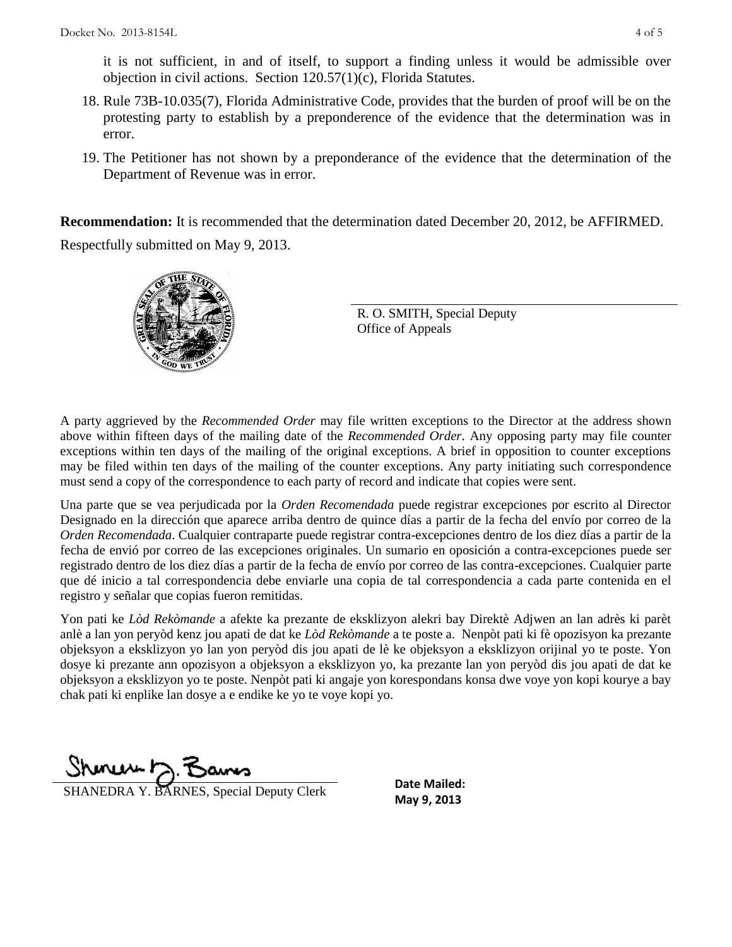it is not sufficient, in and of itself, to support a finding unless it would be admissible over objection in civil actions. Section 120.57(1)(c), Florida Statutes.

- 18. Rule 73B-10.035(7), Florida Administrative Code, provides that the burden of proof will be on the protesting party to establish by a preponderence of the evidence that the determination was in error.
- 19. The Petitioner has not shown by a preponderance of the evidence that the determination of the Department of Revenue was in error.

**Recommendation:** It is recommended that the determination dated December 20, 2012, be AFFIRMED.

Respectfully submitted on May 9, 2013.



R. O. SMITH, Special Deputy Office of Appeals

A party aggrieved by the *Recommended Order* may file written exceptions to the Director at the address shown above within fifteen days of the mailing date of the *Recommended Order*. Any opposing party may file counter exceptions within ten days of the mailing of the original exceptions. A brief in opposition to counter exceptions may be filed within ten days of the mailing of the counter exceptions. Any party initiating such correspondence must send a copy of the correspondence to each party of record and indicate that copies were sent.

Una parte que se vea perjudicada por la *Orden Recomendada* puede registrar excepciones por escrito al Director Designado en la dirección que aparece arriba dentro de quince días a partir de la fecha del envío por correo de la *Orden Recomendada*. Cualquier contraparte puede registrar contra-excepciones dentro de los diez días a partir de la fecha de envió por correo de las excepciones originales. Un sumario en oposición a contra-excepciones puede ser registrado dentro de los diez días a partir de la fecha de envío por correo de las contra-excepciones. Cualquier parte que dé inicio a tal correspondencia debe enviarle una copia de tal correspondencia a cada parte contenida en el registro y señalar que copias fueron remitidas.

Yon pati ke *Lòd Rekòmande* a afekte ka prezante de eksklizyon alekri bay Direktè Adjwen an lan adrès ki parèt anlè a lan yon peryòd kenz jou apati de dat ke *Lòd Rekòmande* a te poste a. Nenpòt pati ki fè opozisyon ka prezante objeksyon a eksklizyon yo lan yon peryòd dis jou apati de lè ke objeksyon a eksklizyon orijinal yo te poste. Yon dosye ki prezante ann opozisyon a objeksyon a eksklizyon yo, ka prezante lan yon peryòd dis jou apati de dat ke objeksyon a eksklizyon yo te poste. Nenpòt pati ki angaje yon korespondans konsa dwe voye yon kopi kourye a bay chak pati ki enplike lan dosye a e endike ke yo te voye kopi yo.

Shoner D. Bams

**SHANEDRA Y. BARNES, Special Deputy Clerk** May 9, 2013

**Date Mailed:**